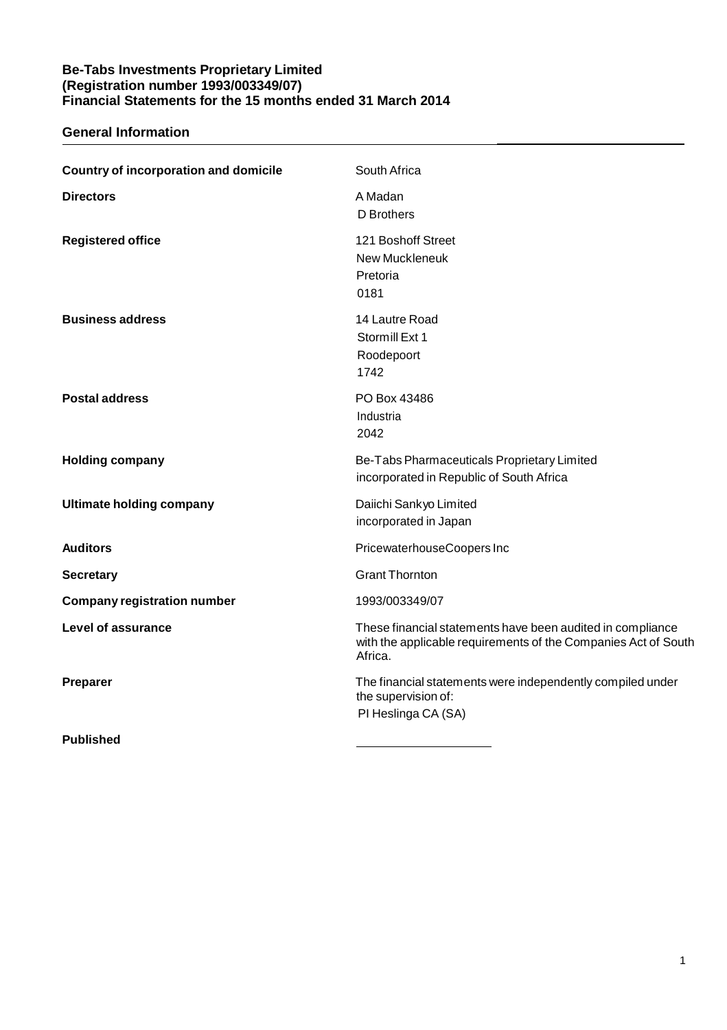## **General Information**

| <b>Country of incorporation and domicile</b> | South Africa                                                                                                                            |
|----------------------------------------------|-----------------------------------------------------------------------------------------------------------------------------------------|
| <b>Directors</b>                             | A Madan<br>D Brothers                                                                                                                   |
| <b>Registered office</b>                     | 121 Boshoff Street<br>New Muckleneuk<br>Pretoria<br>0181                                                                                |
| <b>Business address</b>                      | 14 Lautre Road<br>Stormill Ext 1<br>Roodepoort<br>1742                                                                                  |
| <b>Postal address</b>                        | PO Box 43486<br>Industria<br>2042                                                                                                       |
| <b>Holding company</b>                       | Be-Tabs Pharmaceuticals Proprietary Limited<br>incorporated in Republic of South Africa                                                 |
| <b>Ultimate holding company</b>              | Daiichi Sankyo Limited<br>incorporated in Japan                                                                                         |
| <b>Auditors</b>                              | PricewaterhouseCoopers Inc                                                                                                              |
| <b>Secretary</b>                             | <b>Grant Thornton</b>                                                                                                                   |
| <b>Company registration number</b>           | 1993/003349/07                                                                                                                          |
| <b>Level of assurance</b>                    | These financial statements have been audited in compliance<br>with the applicable requirements of the Companies Act of South<br>Africa. |
| Preparer                                     | The financial statements were independently compiled under<br>the supervision of:<br>PI Heslinga CA (SA)                                |
| <b>Published</b>                             |                                                                                                                                         |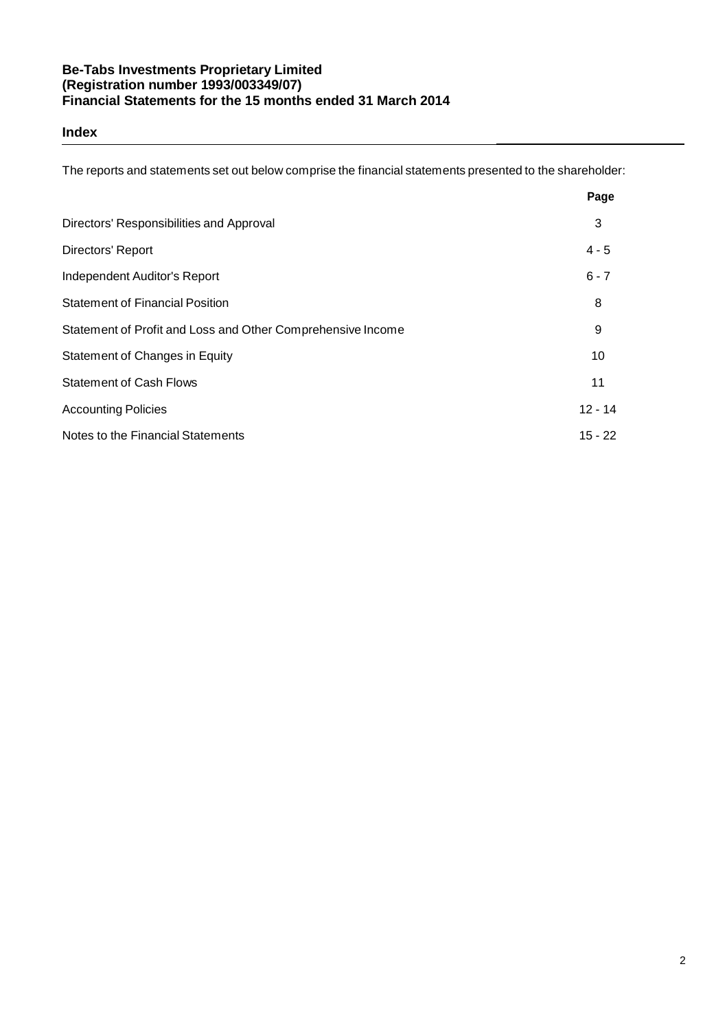# **Index**

The reports and statements set out below comprise the financial statements presented to the shareholder:

|                                                             | Page      |
|-------------------------------------------------------------|-----------|
| Directors' Responsibilities and Approval                    | 3         |
| Directors' Report                                           | $4 - 5$   |
| Independent Auditor's Report                                | $6 - 7$   |
| <b>Statement of Financial Position</b>                      | 8         |
| Statement of Profit and Loss and Other Comprehensive Income | 9         |
| Statement of Changes in Equity                              | 10        |
| <b>Statement of Cash Flows</b>                              | 11        |
| <b>Accounting Policies</b>                                  | $12 - 14$ |
| Notes to the Financial Statements                           | $15 - 22$ |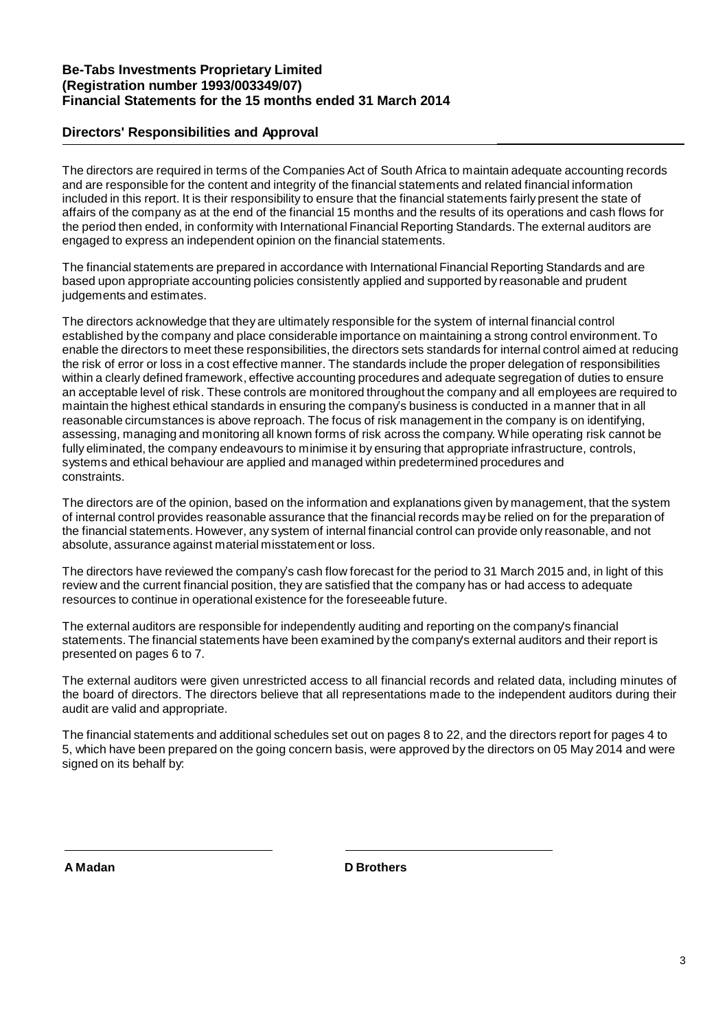## **Directors' Responsibilities and Approval**

The directors are required in terms of the Companies Act of South Africa to maintain adequate accounting records and are responsible for the content and integrity of the financial statements and related financial information included in this report. It is their responsibility to ensure that the financial statements fairly present the state of affairs of the company as at the end of the financial 15 months and the results of its operations and cash flows for the period then ended, in conformity with International Financial Reporting Standards. The external auditors are engaged to express an independent opinion on the financial statements.

The financial statements are prepared in accordance with International Financial Reporting Standards and are based upon appropriate accounting policies consistently applied and supported by reasonable and prudent judgements and estimates.

The directors acknowledge that they are ultimately responsible for the system of internal financial control established by the company and place considerable importance on maintaining a strong control environment. To enable the directors to meet these responsibilities, the directors sets standards for internal control aimed at reducing the risk of error or loss in a cost effective manner. The standards include the proper delegation of responsibilities within a clearly defined framework, effective accounting procedures and adequate segregation of duties to ensure an acceptable level of risk. These controls are monitored throughout the company and all employees are required to maintain the highest ethical standards in ensuring the company's business is conducted in a manner that in all reasonable circumstances is above reproach. The focus of risk management in the company is on identifying, assessing, managing and monitoring all known forms of risk across the company. While operating risk cannot be fully eliminated, the company endeavours to minimise it by ensuring that appropriate infrastructure, controls, systems and ethical behaviour are applied and managed within predetermined procedures and constraints.

The directors are of the opinion, based on the information and explanations given by management, that the system of internal control provides reasonable assurance that the financial records maybe relied on for the preparation of the financial statements. However, any system of internal financial control can provide only reasonable, and not absolute, assurance against material misstatement or loss.

The directors have reviewed the company's cash flow forecast for the period to 31 March 2015 and, in light of this review and the current financial position, they are satisfied that the company has or had access to adequate resources to continue in operational existence for the foreseeable future.

The external auditors are responsible for independently auditing and reporting on the company's financial statements. The financial statements have been examined by the company's external auditors and their report is presented on pages 6 to 7.

The external auditors were given unrestricted access to all financial records and related data, including minutes of the board of directors. The directors believe that all representations made to the independent auditors during their audit are valid and appropriate.

The financial statements and additional schedules set out on pages 8 to 22, and the directors report for pages 4 to 5, which have been prepared on the going concern basis, were approved by the directors on 05 May 2014 and were signed on its behalf by:

**A Madan D Brothers**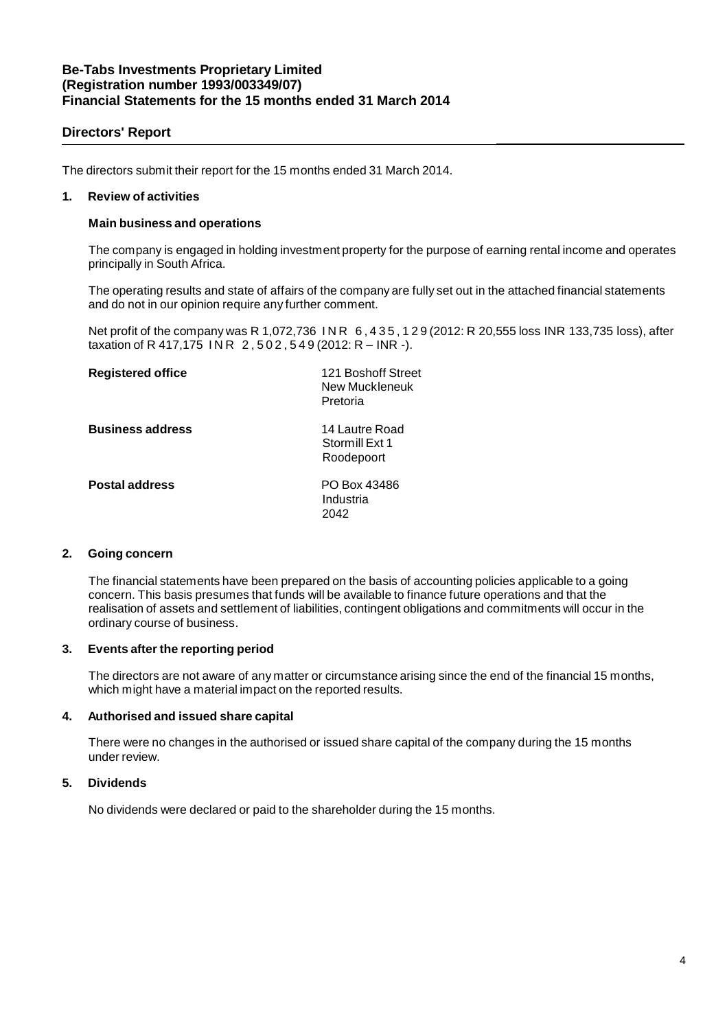## **Directors' Report**

The directors submit their report for the 15 months ended 31 March 2014.

#### **1. Review of activities**

#### **Main business and operations**

The company is engaged in holding investment property for the purpose of earning rental income and operates principally in South Africa.

The operating results and state of affairs of the company are fully set out in the attached financial statements and do not in our opinion require any further comment.

Net profit of the company was R 1,072,736 I N R 6 , 4 3 5 , 1 2 9 (2012: R 20,555 loss INR 133,735 loss), after taxation of R 417,175 INR  $2,502,549$  (2012: R – INR -).

| <b>Registered office</b> | 121 Boshoff Street<br>New Muckleneuk<br>Pretoria |
|--------------------------|--------------------------------------------------|
| <b>Business address</b>  | 14 Lautre Road<br>Stormill Ext 1<br>Roodepoort   |
| <b>Postal address</b>    | PO Box 43486<br>Industria<br>2042                |

#### **2. Going concern**

The financial statements have been prepared on the basis of accounting policies applicable to a going concern. This basis presumes that funds will be available to finance future operations and that the realisation of assets and settlement of liabilities, contingent obligations and commitments will occur in the ordinary course of business.

#### **3. Events after the reporting period**

The directors are not aware of any matter or circumstance arising since the end of the financial 15 months, which might have a material impact on the reported results.

#### **4. Authorised and issued share capital**

There were no changes in the authorised or issued share capital of the company during the 15 months under review.

## **5. Dividends**

No dividends were declared or paid to the shareholder during the 15 months.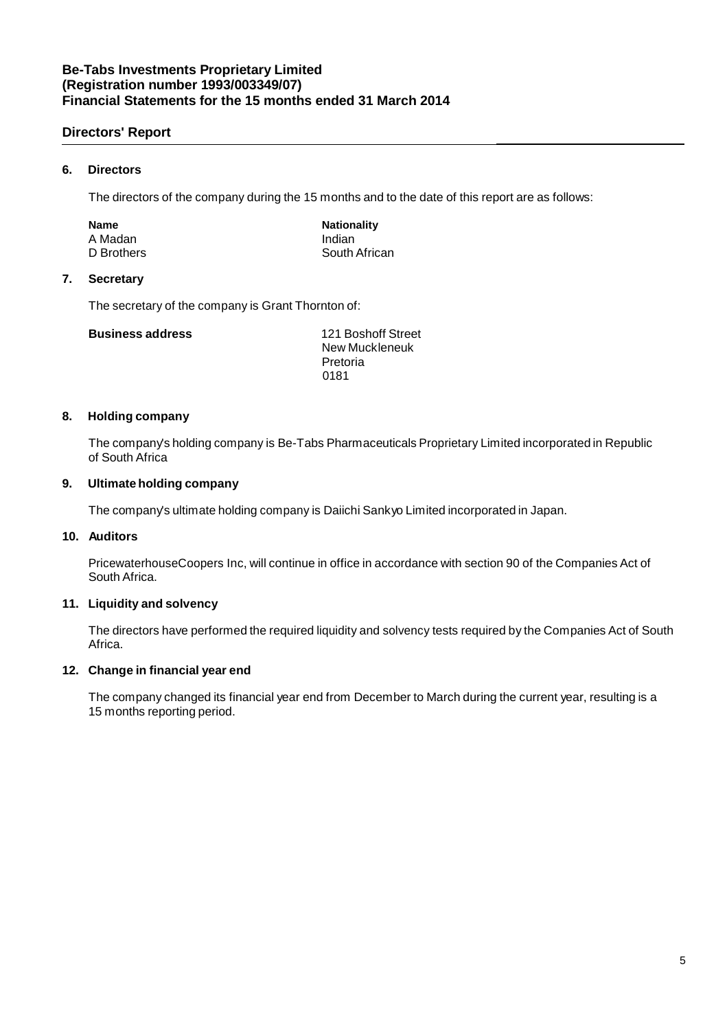## **Directors' Report**

#### **6. Directors**

The directors of the company during the 15 months and to the date of this report are as follows:

| Name       | <b>Nationality</b> |
|------------|--------------------|
| A Madan    | Indian             |
| D Brothers | South African      |

## **7. Secretary**

The secretary of the company is Grant Thornton of:

| <b>Business address</b> | 121 Boshoff Street |
|-------------------------|--------------------|
|                         | New Muckleneuk     |
|                         | Pretoria           |
|                         | 0181               |

### **8. Holding company**

The company's holding company is Be-Tabs Pharmaceuticals Proprietary Limited incorporated in Republic of South Africa

## **9. Ultimate holding company**

The company's ultimate holding company is Daiichi Sankyo Limited incorporated in Japan.

#### **10. Auditors**

PricewaterhouseCoopers Inc, will continue in office in accordance with section 90 of the Companies Act of South Africa.

## **11. Liquidity and solvency**

The directors have performed the required liquidity and solvency tests required by the Companies Act of South Africa.

## **12. Change in financial year end**

The company changed its financial year end from December to March during the current year, resulting is a 15 months reporting period.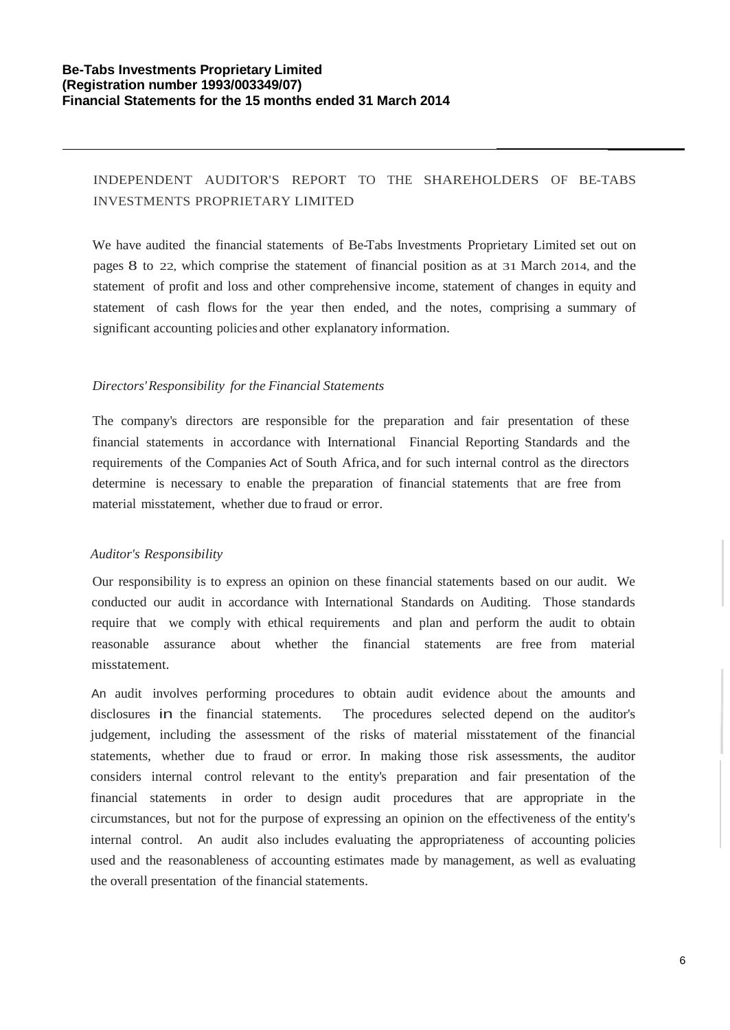# INDEPENDENT AUDITOR'S REPORT TO THE SHAREHOLDERS OF BE-TABS INVESTMENTS PROPRIETARY LIMITED

We have audited the financial statements of Be-Tabs Investments Proprietary Limited set out on pages 8 to 22, which comprise the statement of financial position as at 31 March 2014, and the statement of profit and loss and other comprehensive income, statement of changes in equity and statement of cash flows for the year then ended, and the notes, comprising a summary of significant accounting policies and other explanatory information.

## *Directors'Responsibility for the Financial Statements*

The company's directors are responsible for the preparation and fair presentation of these financial statements in accordance with International Financial Reporting Standards and the requirements of the Companies Act of South Africa, and for such internal control as the directors determine is necessary to enable the preparation of financial statements that are free from material misstatement, whether due to fraud or error.

## *Auditor's Responsibility*

Our responsibility is to express an opinion on these financial statements based on our audit. We conducted our audit in accordance with International Standards on Auditing. Those standards require that we comply with ethical requirements and plan and perform the audit to obtain reasonable assurance about whether the financial statements are free from material misstatement.

An audit involves performing procedures to obtain audit evidence about the amounts and disclosures in the financial statements. The procedures selected depend on the auditor's judgement, including the assessment of the risks of material misstatement of the financial statements, whether due to fraud or error. In making those risk assessments, the auditor considers internal control relevant to the entity's preparation and fair presentation of the financial statements in order to design audit procedures that are appropriate in the circumstances, but not for the purpose of expressing an opinion on the effectiveness of the entity's internal control. An audit also includes evaluating the appropriateness of accounting policies used and the reasonableness of accounting estimates made by management, as well as evaluating the overall presentation of the financial statements.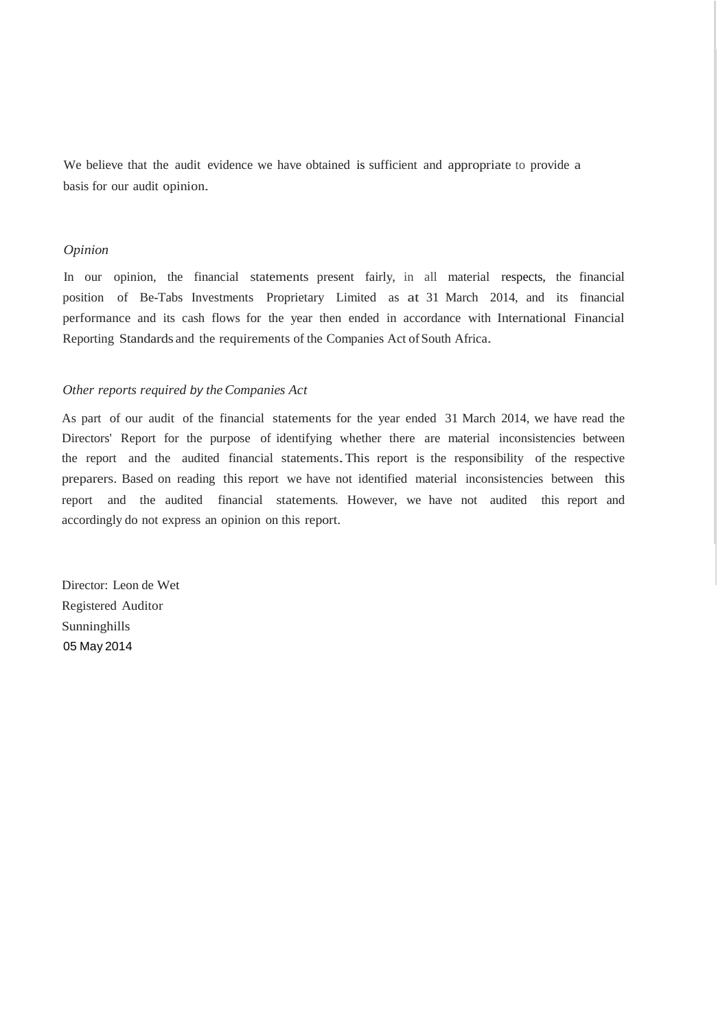We believe that the audit evidence we have obtained is sufficient and appropriate to provide a basis for our audit opinion.

#### *Opinion*

In our opinion, the financial statements present fairly, in all material respects, the financial position of Be-Tabs Investments Proprietary Limited as at 31 March 2014, and its financial performance and its cash flows for the year then ended in accordance with International Financial Reporting Standards and the requirements of the Companies Act ofSouth Africa.

#### *Other reports required by theCompanies Act*

As part of our audit of the financial statements for the year ended 31 March 2014, we have read the Directors' Report for the purpose of identifying whether there are material inconsistencies between the report and the audited financial statements.This report is the responsibility of the respective preparers. Based on reading this report we have not identified material inconsistencies between this report and the audited financial statements. However, we have not audited this report and accordingly do not express an opinion on this report.

Director: Leon de Wet Registered Auditor Sunninghills 05 May 2014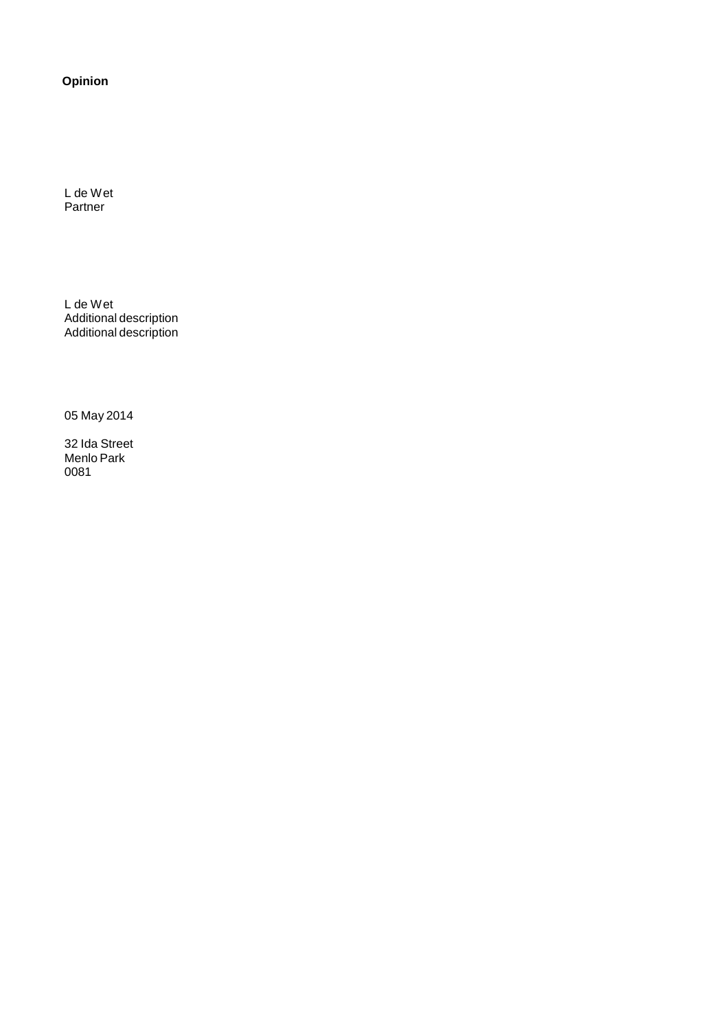**Opinion**

L de Wet Partner

L de Wet Additional description Additional description

05 May 2014

32 Ida Street Menlo Park 0081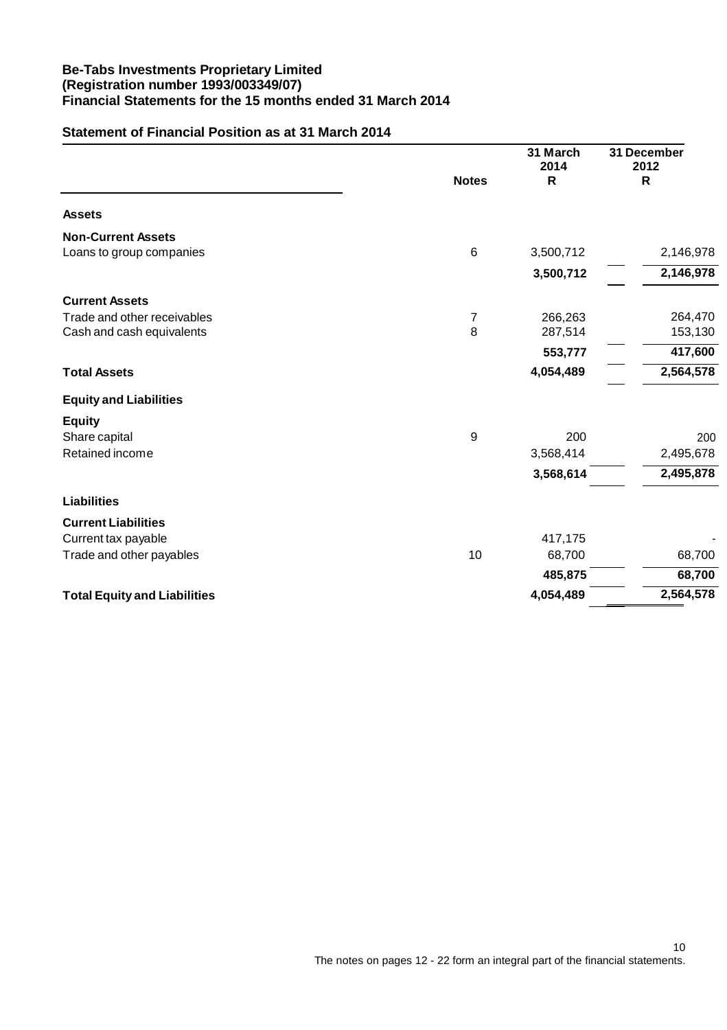# **Statement of Financial Position as at 31 March 2014**

|                                     | <b>Notes</b>    | 31 March<br>2014<br>$\mathsf{R}$ | 31 December<br>2012<br>$\mathsf{R}$ |  |
|-------------------------------------|-----------------|----------------------------------|-------------------------------------|--|
| <b>Assets</b>                       |                 |                                  |                                     |  |
| <b>Non-Current Assets</b>           |                 |                                  |                                     |  |
| Loans to group companies            | $6\phantom{1}6$ | 3,500,712                        | 2,146,978                           |  |
|                                     |                 | 3,500,712                        | 2,146,978                           |  |
| <b>Current Assets</b>               |                 |                                  |                                     |  |
| Trade and other receivables         | $\overline{7}$  | 266,263                          | 264,470                             |  |
| Cash and cash equivalents           | 8               | 287,514                          | 153,130                             |  |
|                                     |                 | 553,777                          | 417,600                             |  |
| <b>Total Assets</b>                 |                 | 4,054,489                        | 2,564,578                           |  |
| <b>Equity and Liabilities</b>       |                 |                                  |                                     |  |
| <b>Equity</b>                       |                 |                                  |                                     |  |
| Share capital                       | 9               | 200                              | 200                                 |  |
| Retained income                     |                 | 3,568,414                        | 2,495,678                           |  |
|                                     |                 | 3,568,614                        | 2,495,878                           |  |
| <b>Liabilities</b>                  |                 |                                  |                                     |  |
| <b>Current Liabilities</b>          |                 |                                  |                                     |  |
| Current tax payable                 |                 | 417,175                          |                                     |  |
| Trade and other payables            | 10              | 68,700                           | 68,700                              |  |
|                                     |                 | 485,875                          | 68,700                              |  |
| <b>Total Equity and Liabilities</b> |                 | 4,054,489                        | 2,564,578                           |  |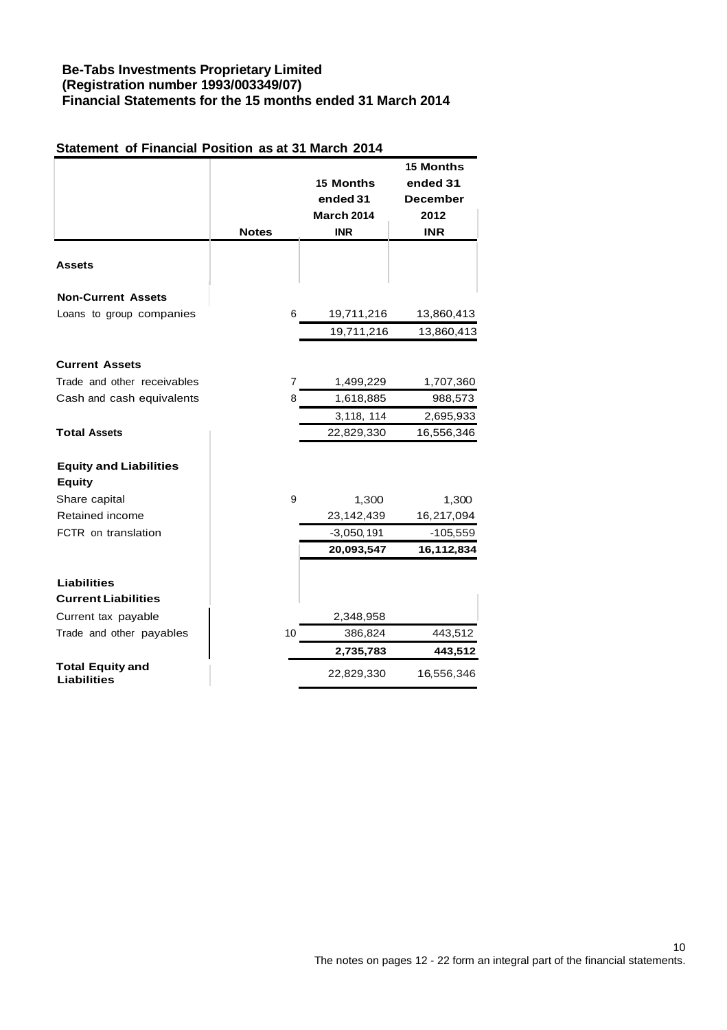| olalenieni                                     | U Financial Fosition as at 31 March 2014 |                   | <b>15 Months</b> |
|------------------------------------------------|------------------------------------------|-------------------|------------------|
|                                                |                                          | <b>15 Months</b>  | ended 31         |
|                                                |                                          | ended 31          | December         |
|                                                |                                          | <b>March 2014</b> | 2012             |
|                                                | <b>Notes</b>                             | <b>INR</b>        | <b>INR</b>       |
| <b>Assets</b>                                  |                                          |                   |                  |
| <b>Non-Current Assets</b>                      |                                          |                   |                  |
| Loans to group companies                       | 6                                        | 19,711,216        | 13,860,413       |
|                                                |                                          | 19,711,216        | 13,860,413       |
| <b>Current Assets</b>                          |                                          |                   |                  |
| Trade and other receivables                    | 7                                        | 1,499,229         | 1,707,360        |
| Cash and cash equivalents                      | 8                                        | 1,618,885         | 988,573          |
|                                                |                                          | 3,118, 114        | 2,695,933        |
| <b>Total Assets</b>                            |                                          | 22,829,330        | 16,556,346       |
|                                                |                                          |                   |                  |
| <b>Equity and Liabilities</b><br><b>Equity</b> |                                          |                   |                  |
| Share capital                                  | 9                                        | 1,300             | 1,300            |
| Retained income                                |                                          | 23,142,439        | 16,217,094       |
| FCTR on translation                            |                                          | $-3,050,191$      | $-105,559$       |
|                                                |                                          | 20,093,547        | 16,112,834       |
| <b>Liabilities</b>                             |                                          |                   |                  |
| <b>Current Liabilities</b>                     |                                          |                   |                  |
| Current tax payable                            |                                          | 2,348,958         |                  |
| Trade and other payables                       | 10                                       | 386,824           | 443,512          |
|                                                |                                          | 2,735,783         | 443,512          |
| <b>Total Equity and</b><br>Liabilities         |                                          | 22,829,330        | 16,556,346       |

## **Statement of Financial Position as at 31 March 2014**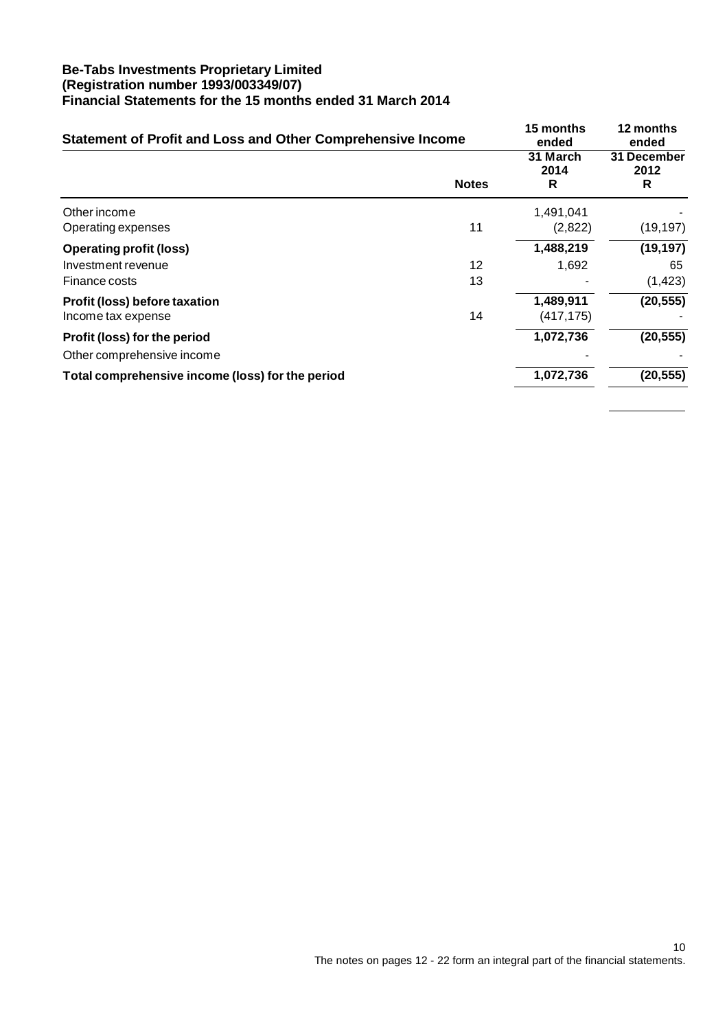| Statement of Profit and Loss and Other Comprehensive Income |              | 15 months<br>ended      | 12 months<br>ended              |
|-------------------------------------------------------------|--------------|-------------------------|---------------------------------|
|                                                             | <b>Notes</b> | 31 March<br>2014<br>R   | <b>31 December</b><br>2012<br>R |
| Other income<br>Operating expenses                          | 11           | 1,491,041<br>(2,822)    | (19, 197)                       |
| <b>Operating profit (loss)</b><br>Investment revenue        | 12           | 1,488,219<br>1,692      | (19, 197)<br>65                 |
| Finance costs                                               | 13           |                         | (1, 423)                        |
| Profit (loss) before taxation<br>Income tax expense         | 14           | 1,489,911<br>(417, 175) | (20, 555)                       |
| Profit (loss) for the period<br>Other comprehensive income  |              | 1,072,736               | (20, 555)                       |
| Total comprehensive income (loss) for the period            |              | 1,072,736               | (20, 555)                       |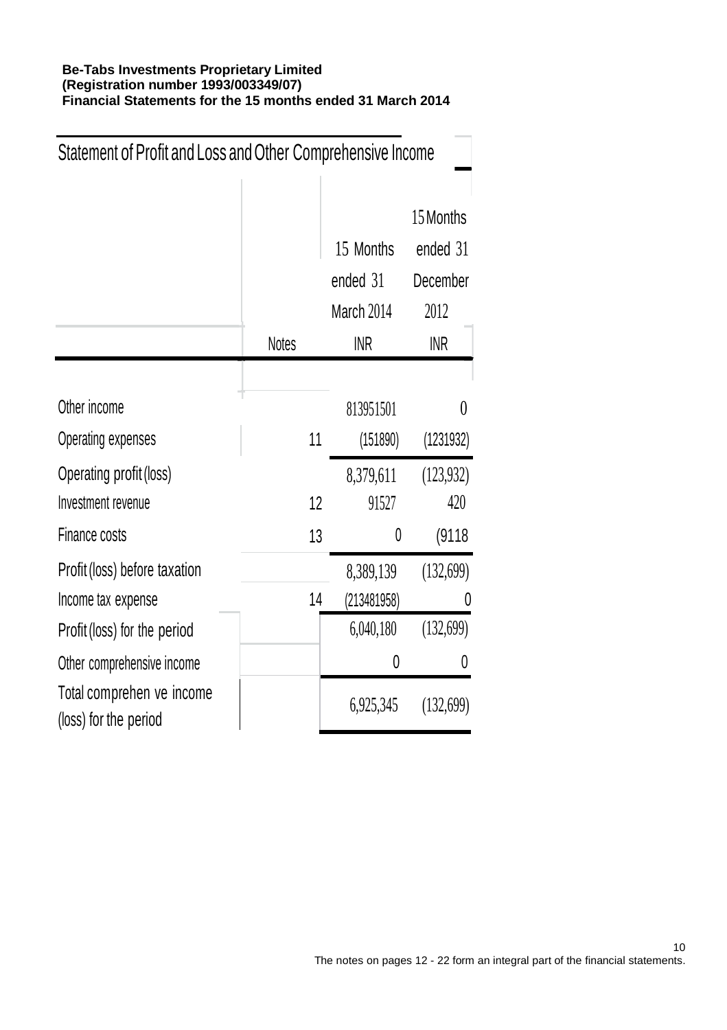| Statement of Profit and Loss and Other Comprehensive Income |              |             |            |  |
|-------------------------------------------------------------|--------------|-------------|------------|--|
|                                                             |              |             | 15 Months  |  |
|                                                             |              | 15 Months   | ended 31   |  |
|                                                             |              | ended 31    | December   |  |
|                                                             |              | March 2014  | 2012       |  |
|                                                             | <b>Notes</b> | <b>INR</b>  | <b>INR</b> |  |
|                                                             |              |             |            |  |
| Other income                                                |              | 813951501   | 0          |  |
| Operating expenses                                          | 11           | (151890)    | (1231932)  |  |
| Operating profit (loss)                                     |              | 8,379,611   | (123, 932) |  |
| Investment revenue                                          | 12           | 91527       | 420        |  |
| Finance costs                                               | 13           | 0           | (9118)     |  |
| Profit (loss) before taxation                               |              | 8,389,139   | (132,699)  |  |
| Income tax expense                                          | 14           | (213481958) | 0          |  |
| Profit (loss) for the period                                |              | 6,040,180   | (132,699)  |  |
| Other comprehensive income                                  |              | 0           | 0          |  |
| Total comprehen ve income<br>(loss) for the period          |              | 6,925,345   | (132,699)  |  |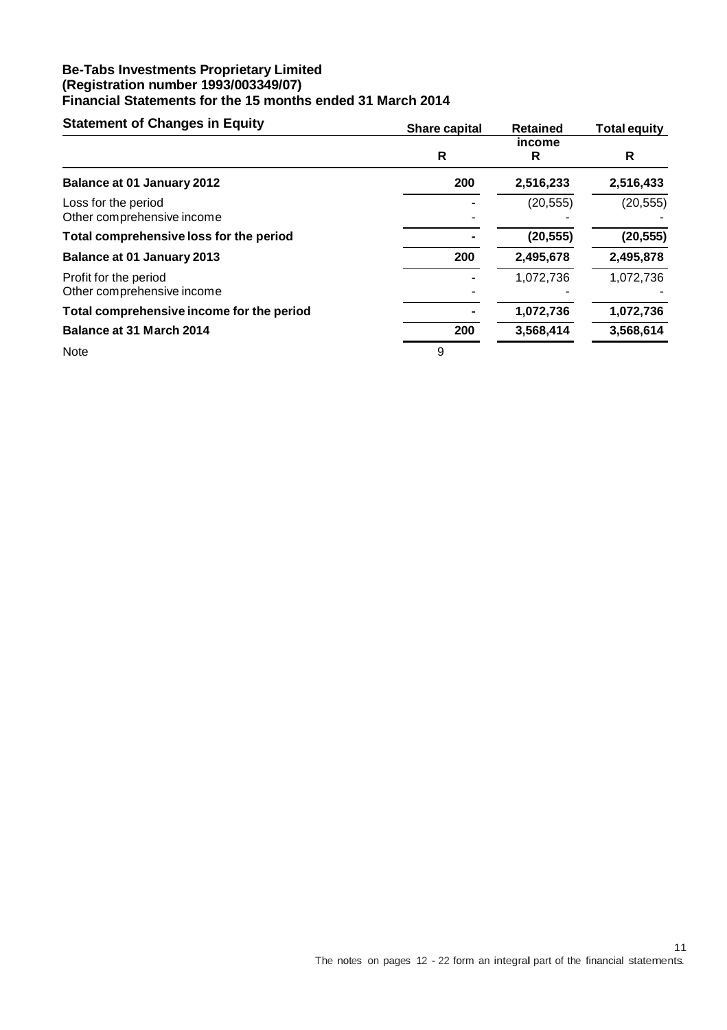| <b>Statement of Changes in Equity</b>               | Share capital | <b>Retained</b> | <b>Total equity</b> |
|-----------------------------------------------------|---------------|-----------------|---------------------|
|                                                     | R             | income<br>R     | R                   |
| <b>Balance at 01 January 2012</b>                   | 200           | 2,516,233       | 2,516,433           |
| Loss for the period<br>Other comprehensive income   |               | (20, 555)       | (20, 555)           |
| Total comprehensive loss for the period             |               | (20, 555)       | (20, 555)           |
| <b>Balance at 01 January 2013</b>                   | 200           | 2,495,678       | 2,495,878           |
| Profit for the period<br>Other comprehensive income |               | 1,072,736       | 1,072,736           |
| Total comprehensive income for the period           |               | 1,072,736       | 1,072,736           |
| <b>Balance at 31 March 2014</b>                     | 200           | 3,568,414       | 3,568,614           |
| Note                                                | 9             |                 |                     |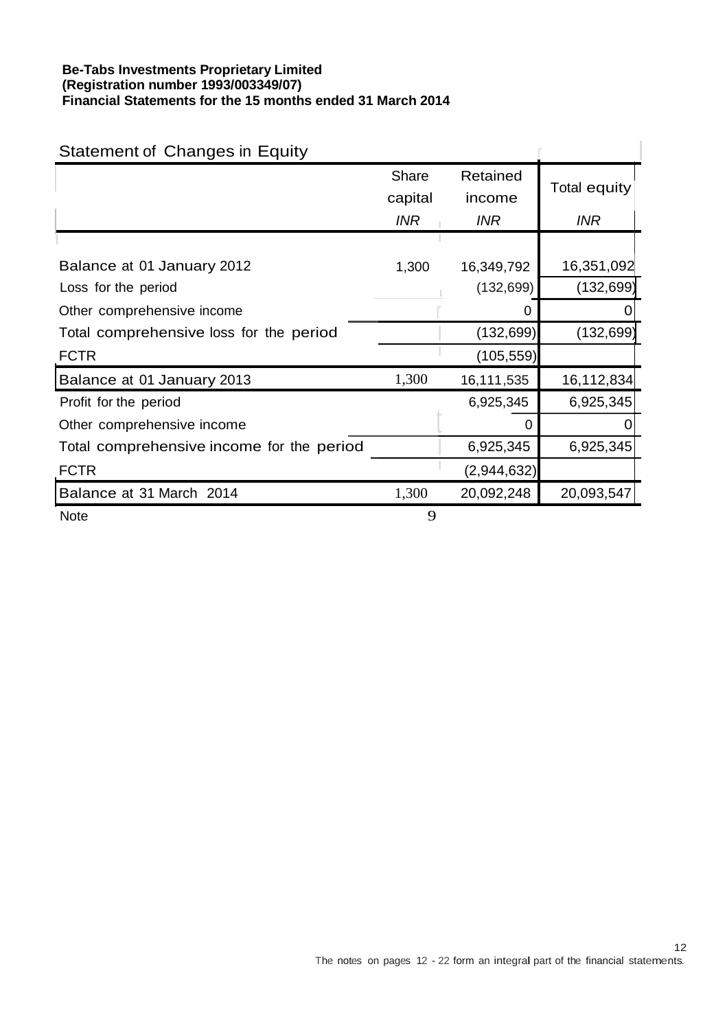| <b>Statement of Changes in Equity</b>     |            |             |                     |
|-------------------------------------------|------------|-------------|---------------------|
|                                           | Share      | Retained    |                     |
|                                           | capital    | income      | <b>Total equity</b> |
|                                           | <b>INR</b> | INR         | <b>INR</b>          |
|                                           |            |             |                     |
| Balance at 01 January 2012                | 1,300      | 16,349,792  | 16,351,092          |
| Loss for the period                       |            | (132, 699)  | (132, 699)          |
| Other comprehensive income                |            | 0           | 0                   |
| Total comprehensive loss for the period   |            | (132, 699)  | (132, 699)          |
| <b>FCTR</b>                               |            | (105, 559)  |                     |
| Balance at 01 January 2013                | 1,300      | 16,111,535  | 16,112,834          |
| Profit for the period                     |            | 6,925,345   | 6,925,345           |
| Other comprehensive income                |            | 0           |                     |
| Total comprehensive income for the period |            | 6,925,345   | 6,925,345           |
| <b>FCTR</b>                               |            | (2,944,632) |                     |
| Balance at 31 March 2014                  | 1,300      | 20,092,248  | 20,093,547          |
| <b>Note</b>                               | 9          |             |                     |

12 The notes on pages 12 - 22 form an integral part of the financial statements.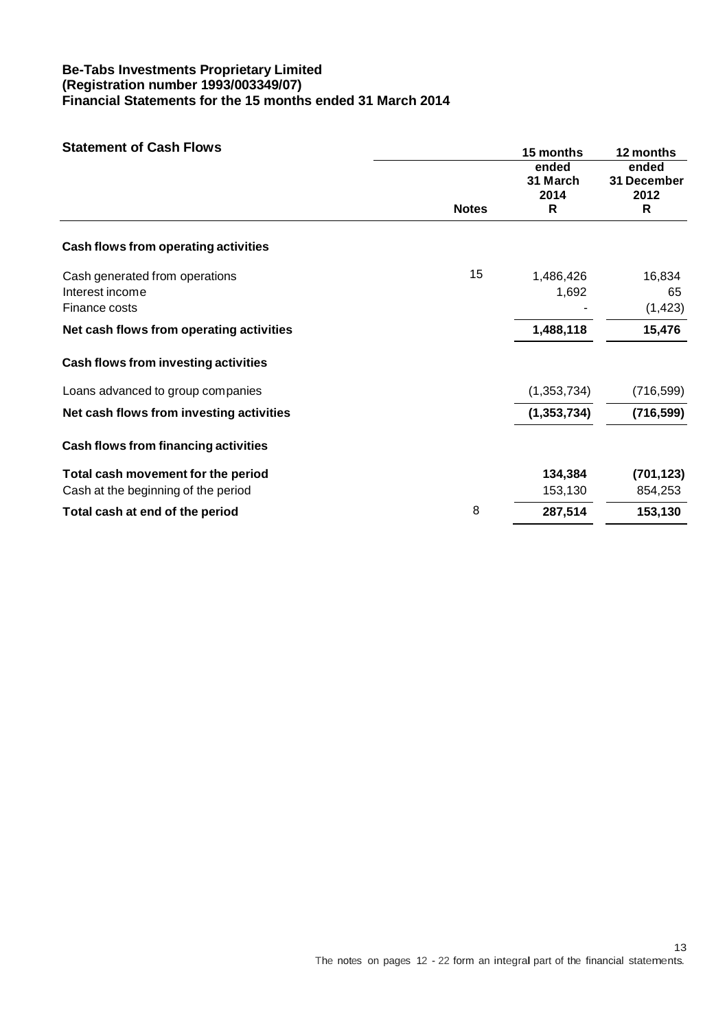| <b>Statement of Cash Flows</b>           |              | 15 months                 | 12 months                    |
|------------------------------------------|--------------|---------------------------|------------------------------|
|                                          |              | ended<br>31 March<br>2014 | ended<br>31 December<br>2012 |
|                                          | <b>Notes</b> | R                         | R                            |
| Cash flows from operating activities     |              |                           |                              |
| Cash generated from operations           | 15           | 1,486,426                 | 16,834                       |
| Interest income                          |              | 1,692                     | 65                           |
| Finance costs                            |              |                           | (1, 423)                     |
| Net cash flows from operating activities |              | 1,488,118                 | 15,476                       |
| Cash flows from investing activities     |              |                           |                              |
| Loans advanced to group companies        |              | (1, 353, 734)             | (716, 599)                   |
| Net cash flows from investing activities |              | (1, 353, 734)             | (716, 599)                   |
| Cash flows from financing activities     |              |                           |                              |
| Total cash movement for the period       |              | 134,384                   | (701, 123)                   |
| Cash at the beginning of the period      |              | 153,130                   | 854,253                      |
| Total cash at end of the period          | 8            | 287,514                   | 153,130                      |

 $\sim$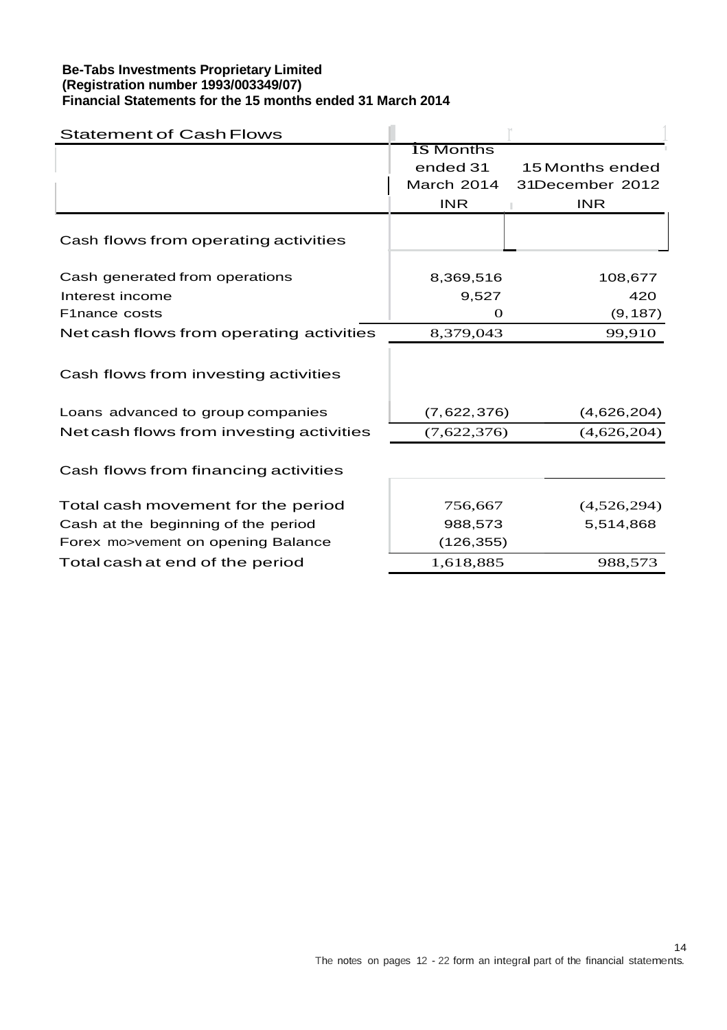# **Be-Tabs Investments Proprietary Limited (Registration number 1993/003349/07)**

| Financial Statements for the 15 months ended 31 March 2014 |                  |                 |  |  |  |
|------------------------------------------------------------|------------------|-----------------|--|--|--|
| <b>Statement of Cash Flows</b>                             |                  |                 |  |  |  |
|                                                            | <b>1S Months</b> |                 |  |  |  |
|                                                            | ended 31         | 15 Months ended |  |  |  |
|                                                            | March 2014       | 31December 2012 |  |  |  |
|                                                            | <b>INR</b>       | <b>INR</b>      |  |  |  |
| Cash flows from operating activities                       |                  |                 |  |  |  |
| Cash generated from operations                             | 8,369,516        | 108,677         |  |  |  |
| Interest income                                            | 9,527            | 420             |  |  |  |
| F1nance costs                                              | 0                | (9, 187)        |  |  |  |
| Net cash flows from operating activities                   | 8,379,043        | 99,910          |  |  |  |
| Cash flows from investing activities                       |                  |                 |  |  |  |
| Loans advanced to group companies                          | (7,622,376)      | (4,626,204)     |  |  |  |
| Net cash flows from investing activities                   | (7,622,376)      | (4,626,204)     |  |  |  |
| Cash flows from financing activities                       |                  |                 |  |  |  |
| Total cash movement for the period                         | 756,667          | (4,526,294)     |  |  |  |
| Cash at the beginning of the period                        | 988,573          | 5,514,868       |  |  |  |
| Forex mo>vement on opening Balance                         | (126, 355)       |                 |  |  |  |
| Total cash at end of the period                            | 1,618,885        | 988,573         |  |  |  |
|                                                            |                  |                 |  |  |  |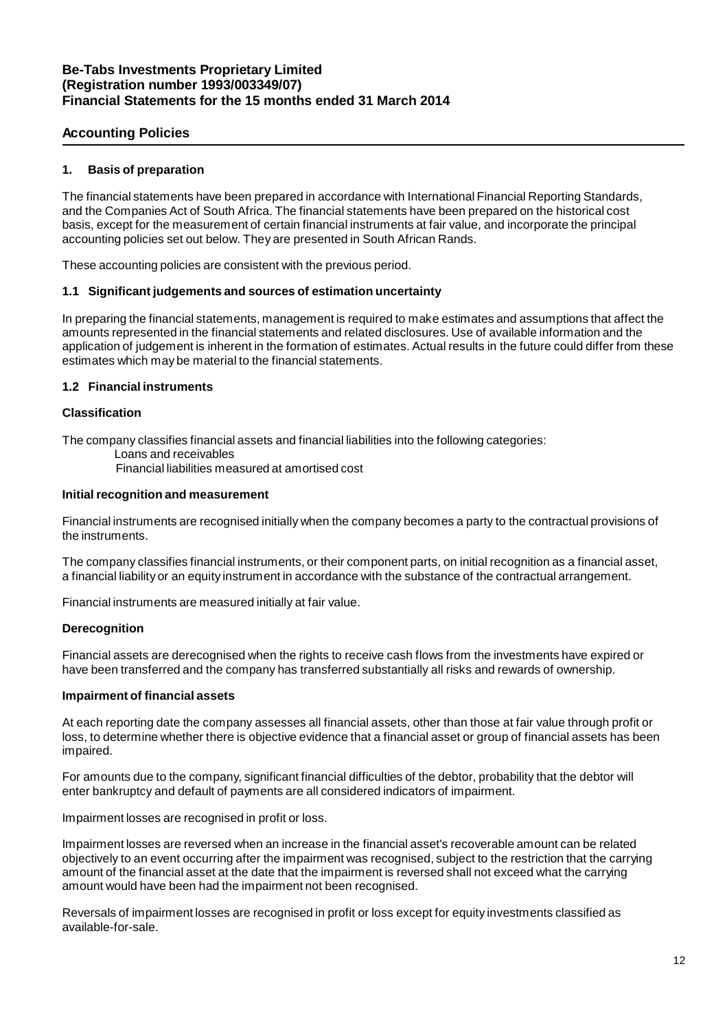## **Accounting Policies**

#### **1. Basis of preparation**

The financial statements have been prepared in accordance with International Financial Reporting Standards, and the Companies Act of South Africa. The financial statements have been prepared on the historical cost basis, except for the measurement of certain financial instruments at fair value, and incorporate the principal accounting policies set out below. They are presented in South African Rands.

These accounting policies are consistent with the previous period.

#### **1.1 Significant judgements and sources of estimation uncertainty**

In preparing the financial statements, management is required to make estimates and assumptions that affect the amounts represented in the financial statements and related disclosures. Use of available information and the application of judgement is inherent in the formation of estimates. Actual results in the future could differ from these estimates which may be material to the financial statements.

#### **1.2 Financial instruments**

#### **Classification**

The company classifies financial assets and financial liabilities into the following categories:

Loans and receivables

Financial liabilities measured at amortised cost

#### **Initial recognition and measurement**

Financial instruments are recognised initially when the company becomes a party to the contractual provisions of the instruments.

The company classifies financial instruments, or their component parts, on initial recognition as a financial asset, a financial liability or an equity instrument in accordance with the substance of the contractual arrangement.

Financial instruments are measured initially at fair value.

#### **Derecognition**

Financial assets are derecognised when the rights to receive cash flows from the investments have expired or have been transferred and the company has transferred substantially all risks and rewards of ownership.

#### **Impairment of financial assets**

At each reporting date the company assesses all financial assets, other than those at fair value through profit or loss, to determine whether there is objective evidence that a financial asset or group of financial assets has been impaired.

For amounts due to the company, significant financial difficulties of the debtor, probability that the debtor will enter bankruptcy and default of payments are all considered indicators of impairment.

Impairment losses are recognised in profit or loss.

Impairment losses are reversed when an increase in the financial asset's recoverable amount can be related objectively to an event occurring after the impairment was recognised, subject to the restriction that the carrying amount of the financial asset at the date that the impairment is reversed shall not exceed what the carrying amount would have been had the impairment not been recognised.

Reversals of impairment losses are recognised in profit or loss except for equity investments classified as available-for-sale.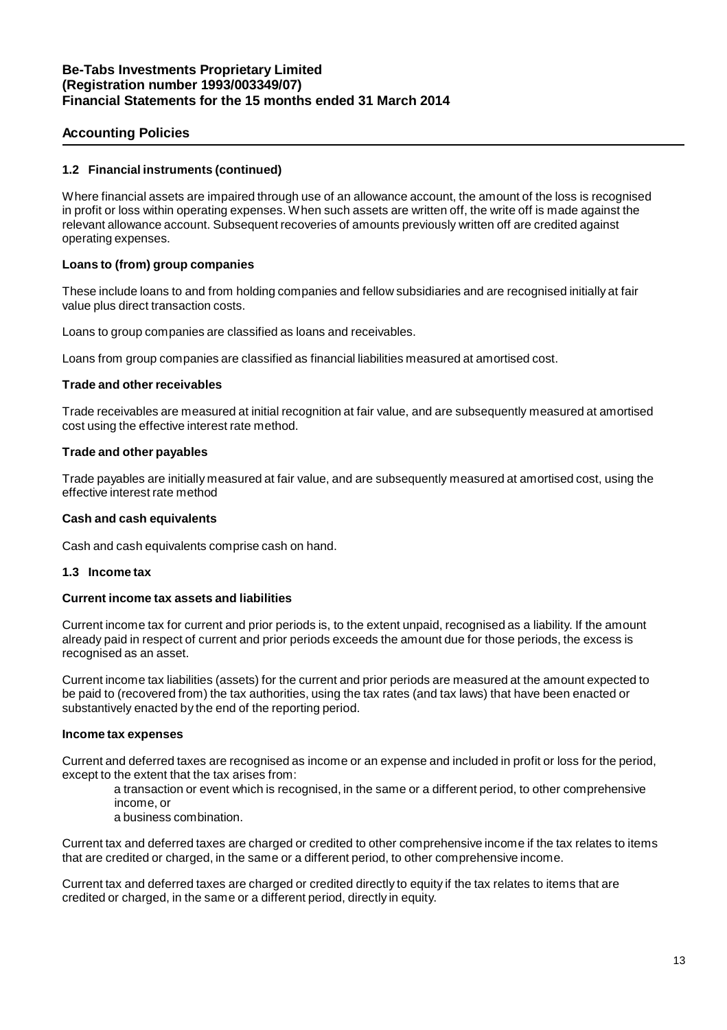## **Accounting Policies**

#### **1.2 Financial instruments (continued)**

Where financial assets are impaired through use of an allowance account, the amount of the loss is recognised in profit or loss within operating expenses. When such assets are written off, the write off is made against the relevant allowance account. Subsequent recoveries of amounts previously written off are credited against operating expenses.

#### **Loans to (from) group companies**

These include loans to and from holding companies and fellow subsidiaries and are recognised initially at fair value plus direct transaction costs.

Loans to group companies are classified as loans and receivables.

Loans from group companies are classified as financial liabilities measured at amortised cost.

#### **Trade and other receivables**

Trade receivables are measured at initial recognition at fair value, and are subsequently measured at amortised cost using the effective interest rate method.

#### **Trade and other payables**

Trade payables are initially measured at fair value, and are subsequently measured at amortised cost, using the effective interest rate method

#### **Cash and cash equivalents**

Cash and cash equivalents comprise cash on hand.

#### **1.3 Income tax**

#### **Current income tax assets and liabilities**

Current income tax for current and prior periods is, to the extent unpaid, recognised as a liability. If the amount already paid in respect of current and prior periods exceeds the amount due for those periods, the excess is recognised as an asset.

Current income tax liabilities (assets) for the current and prior periods are measured at the amount expected to be paid to (recovered from) the tax authorities, using the tax rates (and tax laws) that have been enacted or substantively enacted by the end of the reporting period.

#### **Income tax expenses**

Current and deferred taxes are recognised as income or an expense and included in profit or loss for the period, except to the extent that the tax arises from:

 a transaction or event which is recognised, in the same or a different period, to other comprehensive income, or

a business combination.

Current tax and deferred taxes are charged or credited to other comprehensive income if the tax relates to items that are credited or charged, in the same or a different period, to other comprehensive income.

Current tax and deferred taxes are charged or credited directly to equity if the tax relates to items that are credited or charged, in the same or a different period, directly in equity.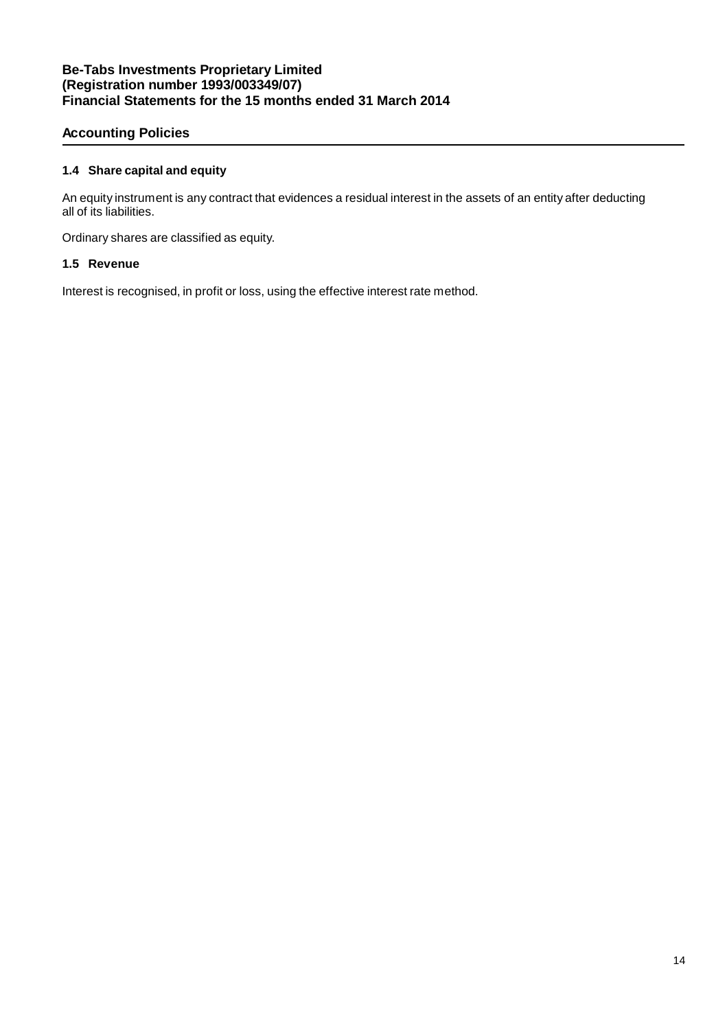## **Accounting Policies**

## **1.4 Share capital and equity**

An equity instrument is any contract that evidences a residual interest in the assets of an entity after deducting all of its liabilities.

Ordinary shares are classified as equity.

#### **1.5 Revenue**

Interest is recognised, in profit or loss, using the effective interest rate method.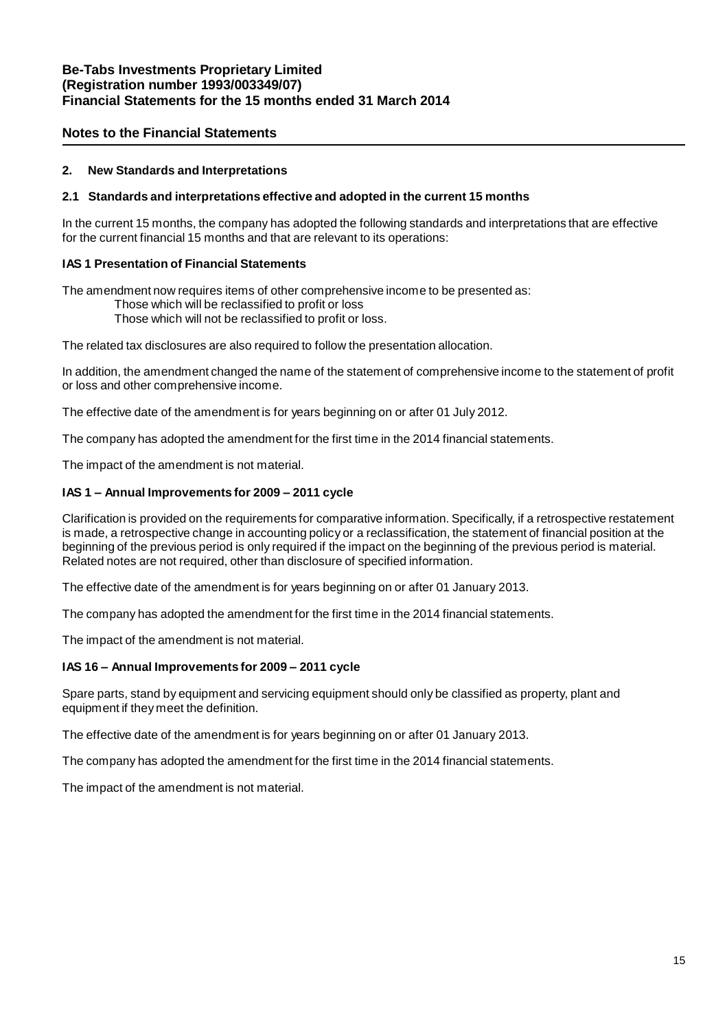## **Notes to the Financial Statements**

#### **2. New Standards and Interpretations**

#### **2.1 Standards and interpretations effective and adopted in the current 15 months**

In the current 15 months, the company has adopted the following standards and interpretations that are effective for the current financial 15 months and that are relevant to its operations:

#### **IAS 1 Presentation of Financial Statements**

The amendment now requires items of other comprehensive income to be presented as: Those which will be reclassified to profit or loss Those which will not be reclassified to profit or loss.

The related tax disclosures are also required to follow the presentation allocation.

In addition, the amendment changed the name of the statement of comprehensive income to the statement of profit or loss and other comprehensive income.

The effective date of the amendment is for years beginning on or after 01 July 2012.

The company has adopted the amendment for the first time in the 2014 financial statements.

The impact of the amendment is not material.

#### **IAS 1 – Annual Improvements for 2009 – 2011 cycle**

Clarification is provided on the requirements for comparative information. Specifically, if a retrospective restatement is made, a retrospective change in accounting policy or a reclassification, the statement of financial position at the beginning of the previous period is only required if the impact on the beginning of the previous period is material. Related notes are not required, other than disclosure of specified information.

The effective date of the amendment is for years beginning on or after 01 January 2013.

The company has adopted the amendment for the first time in the 2014 financial statements.

The impact of the amendment is not material.

## **IAS 16 – Annual Improvements for 2009 – 2011 cycle**

Spare parts, stand by equipment and servicing equipment should only be classified as property, plant and equipment if they meet the definition.

The effective date of the amendment is for years beginning on or after 01 January 2013.

The company has adopted the amendment for the first time in the 2014 financial statements.

The impact of the amendment is not material.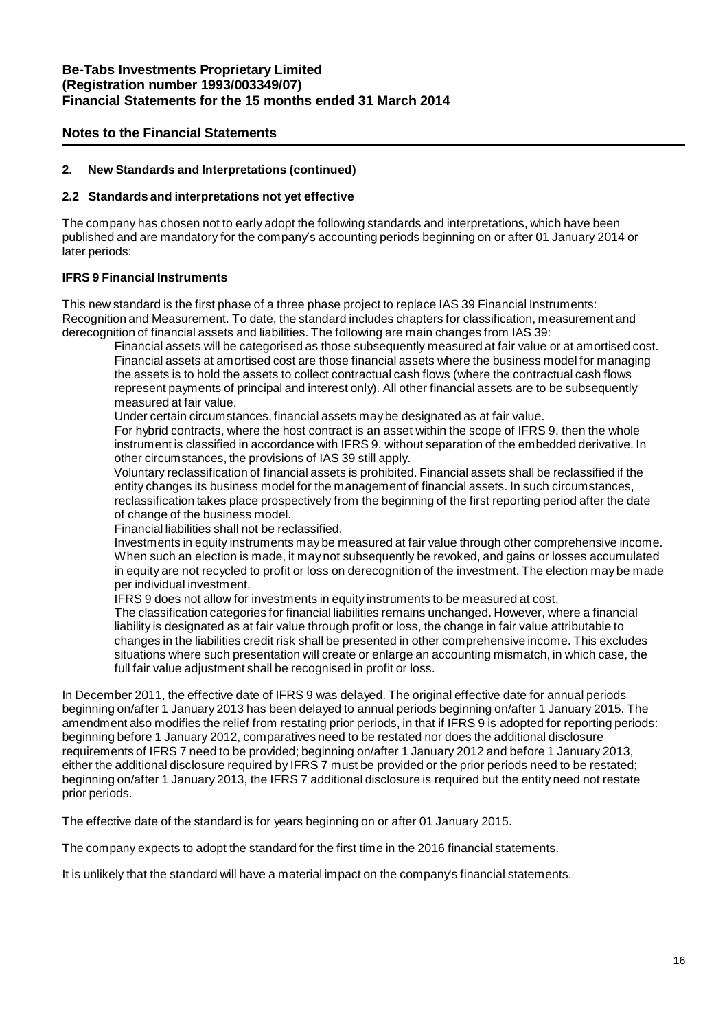## **Notes to the Financial Statements**

## **2. New Standards and Interpretations (continued)**

## **2.2 Standards and interpretations not yet effective**

The company has chosen not to early adopt the following standards and interpretations, which have been published and are mandatory for the company's accounting periods beginning on or after 01 January 2014 or later periods:

#### **IFRS 9 Financial Instruments**

This new standard is the first phase of a three phase project to replace IAS 39 Financial Instruments: Recognition and Measurement. To date, the standard includes chapters for classification, measurement and derecognition of financial assets and liabilities. The following are main changes from IAS 39:

Financial assets will be categorised as those subsequently measured at fair value or at amortised cost. Financial assets at amortised cost are those financial assets where the business model for managing the assets is to hold the assets to collect contractual cash flows (where the contractual cash flows represent payments of principal and interest only). All other financial assets are to be subsequently measured at fair value.

Under certain circumstances, financial assets maybe designated as at fair value.

For hybrid contracts, where the host contract is an asset within the scope of IFRS 9, then the whole instrument is classified in accordance with IFRS 9, without separation of the embedded derivative. In other circumstances, the provisions of IAS 39 still apply.

 Voluntary reclassification of financial assets is prohibited. Financial assets shall be reclassified if the entity changes its business model for the management of financial assets. In such circumstances, reclassification takes place prospectively from the beginning of the first reporting period after the date of change of the business model.

Financial liabilities shall not be reclassified.

Investments in equity instruments may be measured at fair value through other comprehensive income. When such an election is made, it maynot subsequently be revoked, and gains or losses accumulated in equity are not recycled to profit or loss on derecognition of the investment. The election maybe made per individual investment.

IFRS 9 does not allow for investments in equity instruments to be measured at cost. The classification categories for financial liabilities remains unchanged. However, where a financial liability is designated as at fair value through profit or loss, the change in fair value attributable to changes in the liabilities credit risk shall be presented in other comprehensive income. This excludes situations where such presentation will create or enlarge an accounting mismatch, in which case, the full fair value adjustment shall be recognised in profit or loss.

In December 2011, the effective date of IFRS 9 was delayed. The original effective date for annual periods beginning on/after 1 January 2013 has been delayed to annual periods beginning on/after 1 January 2015. The amendment also modifies the relief from restating prior periods, in that if IFRS 9 is adopted for reporting periods: beginning before 1 January 2012, comparatives need to be restated nor does the additional disclosure requirements of IFRS 7 need to be provided; beginning on/after 1 January 2012 and before 1 January 2013, either the additional disclosure required by IFRS 7 must be provided or the prior periods need to be restated; beginning on/after 1 January 2013, the IFRS 7 additional disclosure is required but the entity need not restate prior periods.

The effective date of the standard is for years beginning on or after 01 January 2015.

The company expects to adopt the standard for the first time in the 2016 financial statements.

It is unlikely that the standard will have a material impact on the company's financial statements.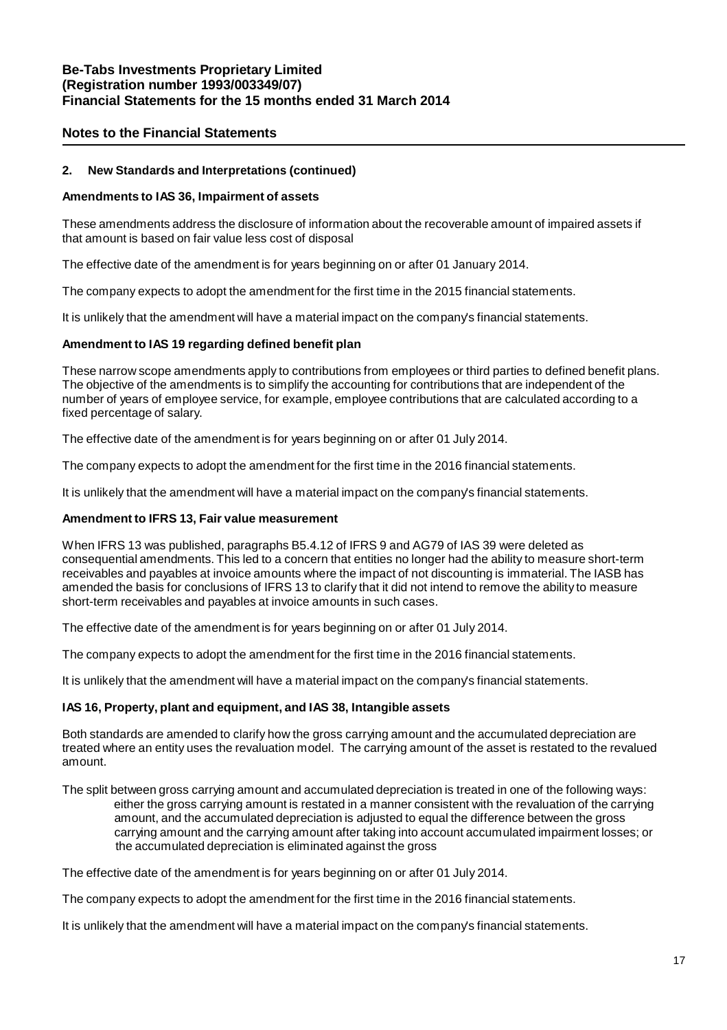## **Notes to the Financial Statements**

#### **2. New Standards and Interpretations (continued)**

#### **Amendments to IAS 36, Impairment of assets**

These amendments address the disclosure of information about the recoverable amount of impaired assets if that amount is based on fair value less cost of disposal

The effective date of the amendment is for years beginning on or after 01 January 2014.

The company expects to adopt the amendment for the first time in the 2015 financial statements.

It is unlikely that the amendment will have a material impact on the company's financial statements.

#### **Amendment to IAS 19 regarding defined benefit plan**

These narrow scope amendments apply to contributions from employees or third parties to defined benefit plans. The objective of the amendments is to simplify the accounting for contributions that are independent of the number of years of employee service, for example, employee contributions that are calculated according to a fixed percentage of salary.

The effective date of the amendment is for years beginning on or after 01 July 2014.

The company expects to adopt the amendment for the first time in the 2016 financial statements.

It is unlikely that the amendment will have a material impact on the company's financial statements.

#### **Amendment to IFRS 13, Fair value measurement**

When IFRS 13 was published, paragraphs B5.4.12 of IFRS 9 and AG79 of IAS 39 were deleted as consequential amendments. This led to a concern that entities no longer had the ability to measure short-term receivables and payables at invoice amounts where the impact of not discounting is immaterial. The IASB has amended the basis for conclusions of IFRS 13 to clarify that it did not intend to remove the ability to measure short-term receivables and payables at invoice amounts in such cases.

The effective date of the amendment is for years beginning on or after 01 July 2014.

The company expects to adopt the amendment for the first time in the 2016 financial statements.

It is unlikely that the amendment will have a material impact on the company's financial statements.

#### **IAS 16, Property, plant and equipment, and IAS 38, Intangible assets**

Both standards are amended to clarify how the gross carrying amount and the accumulated depreciation are treated where an entity uses the revaluation model. The carrying amount of the asset is restated to the revalued amount.

The split between gross carrying amount and accumulated depreciation is treated in one of the following ways: either the gross carrying amount is restated in a manner consistent with the revaluation of the carrying amount, and the accumulated depreciation is adjusted to equal the difference between the gross carrying amount and the carrying amount after taking into account accumulated impairment losses; or the accumulated depreciation is eliminated against the gross

The effective date of the amendment is for years beginning on or after 01 July 2014.

The company expects to adopt the amendment for the first time in the 2016 financial statements.

It is unlikely that the amendment will have a material impact on the company's financial statements.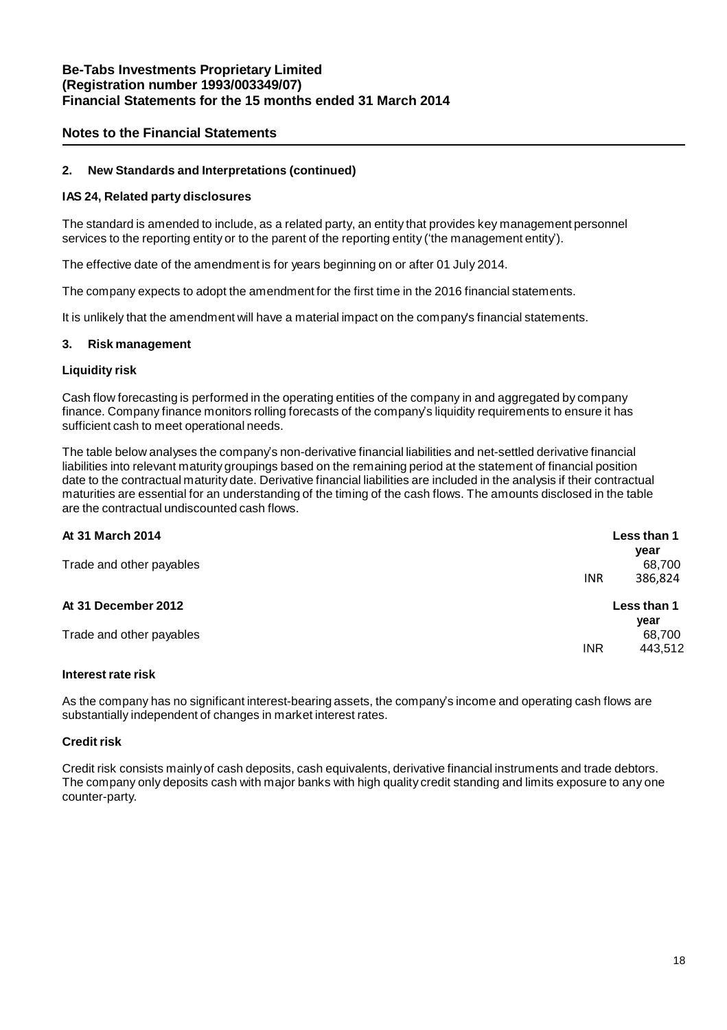## **Notes to the Financial Statements**

#### **2. New Standards and Interpretations (continued)**

#### **IAS 24, Related party disclosures**

The standard is amended to include, as a related party, an entity that provides key management personnel services to the reporting entity or to the parent of the reporting entity ('the management entity').

The effective date of the amendment is for years beginning on or after 01 July 2014.

The company expects to adopt the amendment for the first time in the 2016 financial statements.

It is unlikely that the amendment will have a material impact on the company's financial statements.

#### **3. Risk management**

#### **Liquidity risk**

Cash flow forecasting is performed in the operating entities of the company in and aggregated by company finance. Company finance monitors rolling forecasts of the company's liquidity requirements to ensure it has sufficient cash to meet operational needs.

The table below analyses the company's non-derivative financial liabilities and net-settled derivative financial liabilities into relevant maturity groupings based on the remaining period at the statement of financial position date to the contractual maturity date. Derivative financial liabilities are included in the analysis if their contractual maturities are essential for an understanding of the timing of the cash flows. The amounts disclosed in the table are the contractual undiscounted cash flows.

| At 31 March 2014         |            | Less than 1<br>year |
|--------------------------|------------|---------------------|
| Trade and other payables |            | 68,700              |
|                          | <b>INR</b> | 386,824             |
| At 31 December 2012      |            | Less than 1         |
|                          |            | year                |
| Trade and other payables |            | 68,700              |
|                          | <b>INR</b> | 443,512             |

#### **Interest rate risk**

As the company has no significant interest-bearing assets, the company's income and operating cash flows are substantially independent of changes in market interest rates.

#### **Credit risk**

Credit risk consists mainlyof cash deposits, cash equivalents, derivative financial instruments and trade debtors. The company only deposits cash with major banks with high quality credit standing and limits exposure to any one counter-party.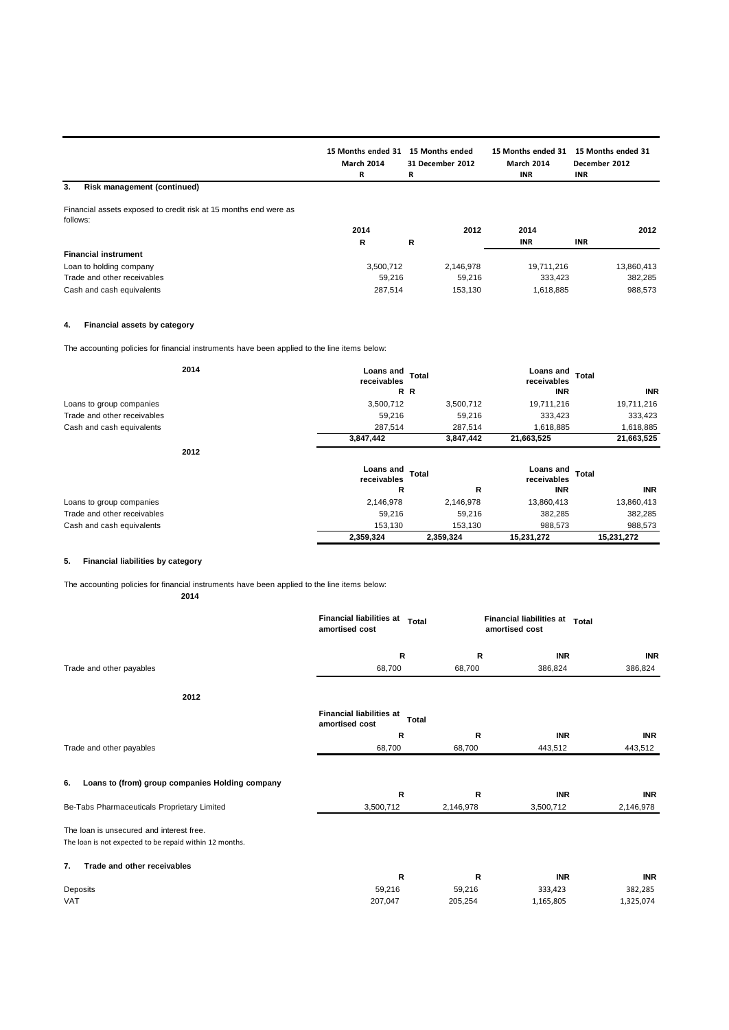|                                                                                              | 15 Months ended 31 15 Months ended<br><b>March 2014</b><br>R | 31 December 2012<br>R | 15 Months ended 31<br><b>March 2014</b><br><b>INR</b> | 15 Months ended 31<br>December 2012<br><b>INR</b> |
|----------------------------------------------------------------------------------------------|--------------------------------------------------------------|-----------------------|-------------------------------------------------------|---------------------------------------------------|
| 3.<br>Risk management (continued)                                                            |                                                              |                       |                                                       |                                                   |
| Financial assets exposed to credit risk at 15 months end were as<br>follows:                 |                                                              |                       |                                                       |                                                   |
|                                                                                              | 2014                                                         | 2012                  | 2014                                                  | 2012                                              |
|                                                                                              | R                                                            | R                     | <b>INR</b>                                            | <b>INR</b>                                        |
| <b>Financial instrument</b>                                                                  |                                                              |                       |                                                       |                                                   |
| Loan to holding company                                                                      | 3,500,712                                                    | 2,146,978             | 19,711,216                                            | 13,860,413                                        |
| Trade and other receivables                                                                  | 59,216                                                       | 59,216                | 333,423                                               | 382,285                                           |
| Cash and cash equivalents                                                                    | 287,514                                                      | 153,130               | 1,618,885                                             | 988,573                                           |
| Financial assets by category<br>4.                                                           |                                                              |                       |                                                       |                                                   |
| The accounting policies for financial instruments have been applied to the line items below: |                                                              |                       |                                                       |                                                   |
| 2014                                                                                         | Loans and<br>receivables                                     | Total                 | Loans and<br>receivables                              | <b>Total</b>                                      |
|                                                                                              |                                                              | R <sub>R</sub>        | <b>INR</b>                                            | <b>INR</b>                                        |
| Loans to group companies                                                                     | 3,500,712                                                    | 3,500,712             | 19,711,216                                            | 19,711,216                                        |
| Trade and other receivables                                                                  | 59,216                                                       | 59,216                | 333,423                                               | 333,423                                           |
| Cash and cash equivalents                                                                    | 287,514                                                      | 287,514               | 1,618,885                                             | 1,618,885                                         |
|                                                                                              | 3,847,442                                                    | 3,847,442             | 21,663,525                                            | 21,663,525                                        |
| 2012                                                                                         |                                                              |                       |                                                       |                                                   |
|                                                                                              | Loans and<br>receivables                                     | Total                 | Loans and<br>receivables                              | <b>Total</b>                                      |
|                                                                                              | R                                                            | R                     | <b>INR</b>                                            | <b>INR</b>                                        |
| Loans to group companies                                                                     | 2,146,978                                                    | 2,146,978             | 13,860,413                                            | 13,860,413                                        |
| Trade and other receivables                                                                  | 59,216                                                       | 59,216                | 382,285                                               | 382,285                                           |
| Cash and cash equivalents                                                                    | 153,130                                                      | 153,130               | 988,573                                               | 988,573                                           |
|                                                                                              | 2,359,324                                                    | 2,359,324             | 15,231,272                                            | 15,231,272                                        |

# **5. Financial liabilities by category**

The accounting policies for financial instruments have been applied to the line items below:

**2014**

|                                                         | <b>Financial liabilities at</b><br>amortised cost | <b>Total</b> | <b>Financial liabilities at</b><br>amortised cost | Total      |
|---------------------------------------------------------|---------------------------------------------------|--------------|---------------------------------------------------|------------|
|                                                         | R                                                 |              | R<br><b>INR</b>                                   | <b>INR</b> |
| Trade and other payables                                | 68,700                                            | 68,700       | 386,824                                           | 386,824    |
| 2012                                                    |                                                   |              |                                                   |            |
|                                                         | <b>Financial liabilities at</b><br>amortised cost | <b>Total</b> |                                                   |            |
|                                                         | R                                                 | R            | <b>INR</b>                                        | <b>INR</b> |
| Trade and other payables                                | 68,700                                            | 68,700       | 443,512                                           | 443,512    |
| Loans to (from) group companies Holding company<br>6.   | R                                                 | R            | <b>INR</b>                                        | <b>INR</b> |
| Be-Tabs Pharmaceuticals Proprietary Limited             | 3,500,712                                         | 2,146,978    | 3,500,712                                         | 2,146,978  |
|                                                         |                                                   |              |                                                   |            |
| The loan is unsecured and interest free.                |                                                   |              |                                                   |            |
| The loan is not expected to be repaid within 12 months. |                                                   |              |                                                   |            |
| Trade and other receivables<br>7.                       |                                                   |              |                                                   |            |
|                                                         | $\mathbb{R}$                                      | R            | <b>INR</b>                                        | <b>INR</b> |
| Deposits                                                | 59,216                                            | 59,216       | 333,423                                           | 382,285    |
| <b>VAT</b>                                              | 207,047                                           | 205,254      | 1,165,805                                         | 1,325,074  |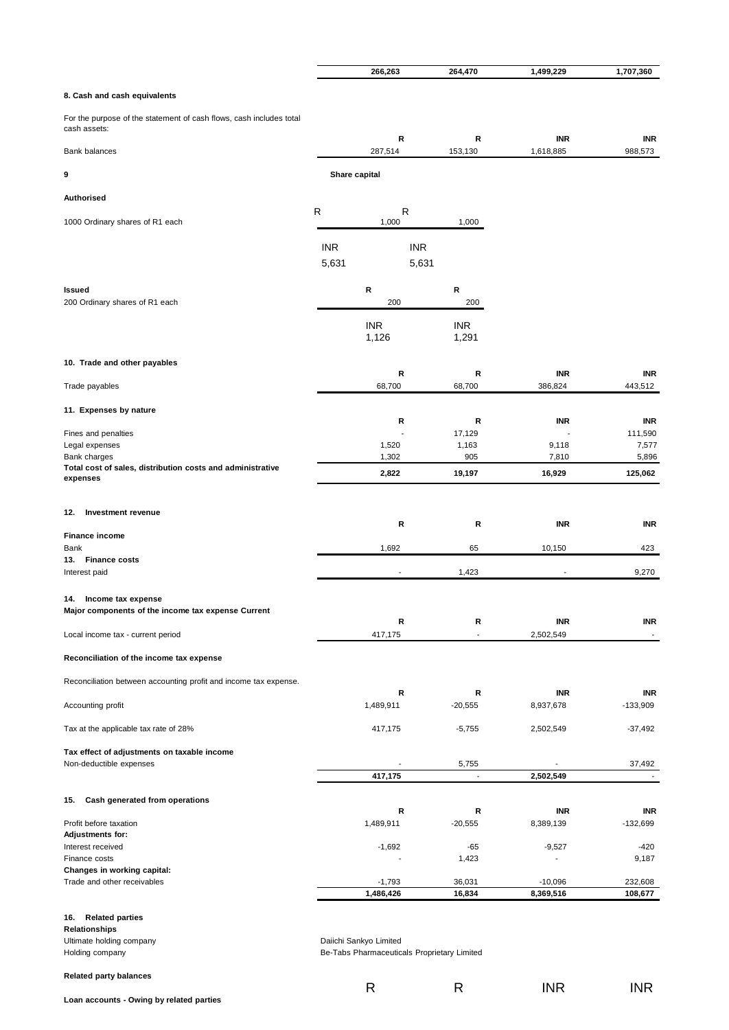| 266,263 | 264.470 | 1.499.229 | 1.707.360 |
|---------|---------|-----------|-----------|
|         |         |           |           |

#### **8. Cash and cash equivalents**

For the purpose of the statement of cash flows, cash includes total cash assets:

| <b>Bank balances</b>                                                         |                     | R<br>287,514                                | R<br>153,130            | INR<br>1,618,885        | INR<br>988,573        |
|------------------------------------------------------------------------------|---------------------|---------------------------------------------|-------------------------|-------------------------|-----------------------|
| 9                                                                            | Share capital       |                                             |                         |                         |                       |
| Authorised                                                                   |                     |                                             |                         |                         |                       |
| 1000 Ordinary shares of R1 each                                              | R                   | R<br>1,000                                  | 1,000                   |                         |                       |
|                                                                              |                     |                                             |                         |                         |                       |
|                                                                              | <b>INR</b><br>5,631 | <b>INR</b><br>5,631                         |                         |                         |                       |
| <b>Issued</b><br>200 Ordinary shares of R1 each                              |                     | ${\bf R}$<br>200                            | R<br>200                |                         |                       |
|                                                                              |                     | <b>INR</b><br>1,126                         | <b>INR</b><br>1,291     |                         |                       |
| 10. Trade and other payables                                                 |                     |                                             |                         |                         |                       |
| Trade payables                                                               |                     | R<br>68,700                                 | R<br>68,700             | <b>INR</b><br>386,824   | <b>INR</b><br>443,512 |
| 11. Expenses by nature                                                       |                     |                                             |                         |                         |                       |
| Fines and penalties                                                          |                     | R                                           | R<br>17,129             | <b>INR</b>              | <b>INR</b><br>111,590 |
| Legal expenses                                                               |                     | 1,520                                       | 1,163                   | 9,118                   | 7,577                 |
| Bank charges<br>Total cost of sales, distribution costs and administrative   |                     | 1,302                                       | 905                     | 7,810                   | 5,896                 |
| expenses                                                                     |                     | 2,822                                       | 19,197                  | 16,929                  | 125,062               |
| Investment revenue<br>12.                                                    |                     |                                             |                         |                         |                       |
| <b>Finance income</b>                                                        |                     | R                                           | R                       | <b>INR</b>              | <b>INR</b>            |
| Bank                                                                         |                     | 1,692                                       | 65                      | 10,150                  | 423                   |
| 13. Finance costs<br>Interest paid                                           |                     | $\overline{a}$                              | 1,423                   |                         | 9,270                 |
|                                                                              |                     |                                             |                         |                         |                       |
| 14. Income tax expense<br>Major components of the income tax expense Current |                     |                                             |                         |                         |                       |
| Local income tax - current period                                            |                     | R<br>417,175                                | R                       | <b>INR</b><br>2,502,549 | <b>INR</b>            |
|                                                                              |                     |                                             |                         |                         |                       |
| Reconciliation of the income tax expense                                     |                     |                                             |                         |                         |                       |
| Reconciliation between accounting profit and income tax expense.             |                     | R                                           | R                       | <b>INR</b>              | <b>INR</b>            |
| Accounting profit                                                            |                     | 1,489,911                                   | $-20,555$               | 8,937,678               | $-133,909$            |
| Tax at the applicable tax rate of 28%                                        |                     | 417,175                                     | $-5,755$                | 2,502,549               | $-37,492$             |
| Tax effect of adjustments on taxable income                                  |                     |                                             |                         |                         |                       |
| Non-deductible expenses                                                      |                     | 417,175                                     | 5,755<br>$\overline{a}$ | 2,502,549               | 37,492                |
| Cash generated from operations<br>15.                                        |                     |                                             |                         |                         |                       |
|                                                                              |                     | R                                           | R                       | INR                     | <b>INR</b>            |
| Profit before taxation<br>Adjustments for:                                   |                     | 1,489,911                                   | $-20,555$               | 8,389,139               | $-132,699$            |
| Interest received<br>Finance costs                                           |                     | $-1,692$                                    | -65<br>1,423            | $-9,527$                | -420<br>9,187         |
| Changes in working capital:                                                  |                     |                                             |                         |                         |                       |
| Trade and other receivables                                                  |                     | $-1,793$<br>1,486,426                       | 36,031<br>16,834        | $-10,096$<br>8,369,516  | 232,608<br>108,677    |
|                                                                              |                     |                                             |                         |                         |                       |
| 16. Related parties<br><b>Relationships</b><br>Ultimate holding company      |                     | Daiichi Sankyo Limited                      |                         |                         |                       |
| Holding company                                                              |                     | Be-Tabs Pharmaceuticals Proprietary Limited |                         |                         |                       |
| <b>Related party balances</b>                                                |                     |                                             |                         |                         |                       |

 $\overline{\phantom{0}}$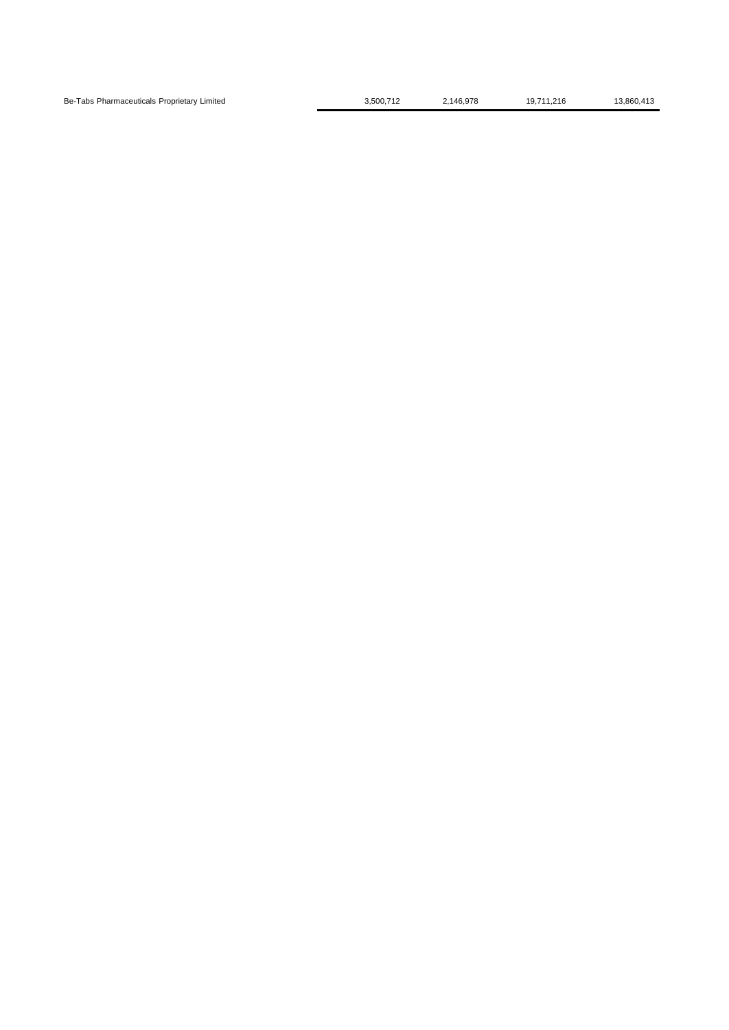| Be-Tabs Pharmaceuticals F<br><b>Proprietary Limited</b> | i.500.712 | .146.978 | 19.711.216 | 13.860.413 |
|---------------------------------------------------------|-----------|----------|------------|------------|
|                                                         |           |          |            |            |